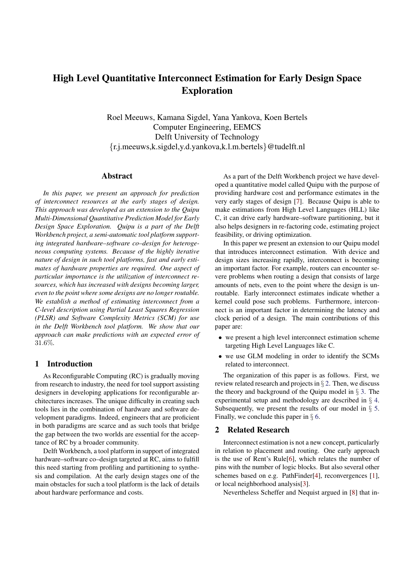# High Level Quantitative Interconnect Estimation for Early Design Space Exploration

Roel Meeuws, Kamana Sigdel, Yana Yankova, Koen Bertels Computer Engineering, EEMCS Delft University of Technology {r.j.meeuws,k.sigdel,y.d.yankova,k.l.m.bertels}@tudelft.nl

## Abstract

*In this paper, we present an approach for prediction of interconnect resources at the early stages of design. This approach was developed as an extension to the Quipu Multi-Dimensional Quantitative Prediction Model for Early Design Space Exploration. Quipu is a part of the Delft Workbench project, a semi-automatic tool platform supporting integrated hardware–software co–design for heterogeneous computing systems. Because of the highly iterative nature of design in such tool platforms, fast and early estimates of hardware properties are required. One aspect of particular importance is the utilization of interconnect resources, which has increased with designs becoming larger, even to the point where some designs are no longerroutable. We establish a method of estimating interconnect from a C-level description using Partial Least Squares Regression (PLSR) and Software Complexity Metrics (SCM) for use in the Delft Workbench tool platform. We show that our approach can make predictions with an expected error of* 31.6%*.*

# 1 Introduction

As Reconfigurable Computing (RC) is gradually moving from research to industry, the need for tool support assisting designers in developing applications for reconfigurable architectures increases. The unique difficulty in creating such tools lies in the combination of hardware and software development paradigms. Indeed, engineers that are proficient in both paradigms are scarce and as such tools that bridge the gap between the two worlds are essential for the acceptance of RC by a broader community.

Delft Workbench, a tool platform in support of integrated hardware–software co–design targeted at RC, aims to fulfill this need starting from profiling and partitioning to synthesis and compilation. At the early design stages one of the main obstacles for such a tool platform is the lack of details about hardware performance and costs.

As a part of the Delft Workbench project we have developed a quantitative model called Quipu with the purpose of providing hardware cost and performance estimates in the very early stages of design [7]. Because Quipu is able to make estimations from High Level Languages (HLL) like C, it can drive early hardware–software partitioning, but it also helps designers in re-factoring code, estimating project feasibility, or driving optimization.

In this paper we present an extension to our Quipu model that introduces interconnect estimation. With device and design sizes increasing rapidly, interconnect is becoming an important factor. For example, routers can encounter severe problems when routing a design that consists of large amounts of nets, even to the point where the design is unroutable. Early interconnect estimates indicate whether a kernel could pose such problems. Furthermore, interconnect is an important factor in determining the latency and clock period of a design. The main contributions of this paper are:

- we present a high level interconnect estimation scheme targeting High Level Languages like C.
- we use GLM modeling in order to identify the SCMs related to interconnect.

The organization of this paper is as follows. First, we review related research and projects in  $\S 2$ . Then, we discuss the theory and background of the Quipu model in  $\S$  3. The experimental setup and methodology are described in § 4. Subsequently, we present the results of our model in  $\S$  5. Finally, we conclude this paper in  $\S$  6.

# 2 Related Research

Interconnect estimation is not a new concept, particularly in relation to placement and routing. One early approach is the use of Rent's Rule[6], which relates the number of pins with the number of logic blocks. But also several other schemes based on e.g. PathFinder[4], reconvergences [1], or local neighborhood analysis[3].

Nevertheless Scheffer and Nequist argued in [8] that in-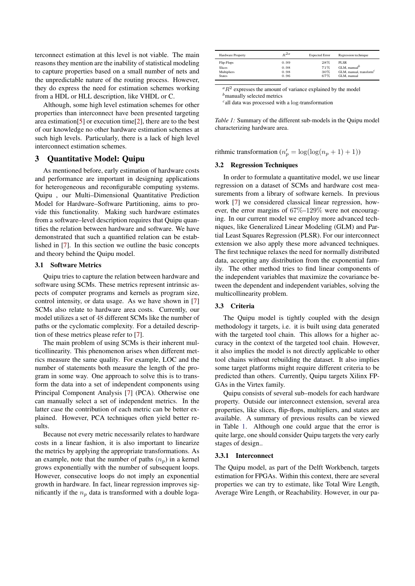terconnect estimation at this level is not viable. The main reasons they mention are the inability of statistical modeling to capture properties based on a small number of nets and the unpredictable nature of the routing process. However, they do express the need for estimation schemes working from a HDL or HLL description, like VHDL or C.

Although, some high level estimation schemes for other properties than interconnect have been presented targeting area estimation[5] or execution time[2], there are to the best of our knowledge no other hardware estimation schemes at such high levels. Particularly, there is a lack of high level interconnect estimation schemes.

## 3 Quantitative Model: Quipu

As mentioned before, early estimation of hardware costs and performance are important in designing applications for heterogeneous and reconfigurable computing systems. Quipu , our Multi–Dimensional Quantitative Prediction Model for Hardware–Software Partitioning, aims to provide this functionality. Making such hardware estimates from a software–level description requires that Quipu quantifies the relation between hardware and software. We have demonstrated that such a quantified relation can be established in [7]. In this section we outline the basic concepts and theory behind the Quipu model.

#### 3.1 Software Metrics

Quipu tries to capture the relation between hardware and software using SCMs. These metrics represent intrinsic aspects of computer programs and kernels as program size, control intensity, or data usage. As we have shown in [7] SCMs also relate to hardware area costs. Currently, our model utilizes a set of 48 different SCMs like the number of paths or the cyclomatic complexity. For a detailed description of these metrics please refer to [7].

The main problem of using SCMs is their inherent multicollinearity. This phenomenon arises when different metrics measure the same quality. For example, LOC and the number of statements both measure the length of the program in some way. One approach to solve this is to transform the data into a set of independent components using Principal Component Analysis [7] (PCA). Otherwise one can manually select a set of independent metrics. In the latter case the contribution of each metric can be better explained. However, PCA techniques often yield better results.

Because not every metric necessarily relates to hardware costs in a linear fashion, it is also important to linearize the metrics by applying the appropriate transformations. As an example, note that the number of paths  $(n_p)$  in a kernel grows exponentially with the number of subsequent loops. However, consecutive loops do not imply an exponential growth in hardware. In fact, linear regression improves significantly if the  $n_p$  data is transformed with a double loga-

| Hardware Property | $R^{2a}$ | <b>Expected Error</b> | Regression technique       |
|-------------------|----------|-----------------------|----------------------------|
| Flip-Flops        | 0.99     | 28%                   | <b>PLSR</b>                |
| Slices            | 0.98     | 71%                   | GLM, manual $^b$           |
| Multipliers       | 0.98     | 30%                   | GLM, manual, transform $c$ |
| <b>States</b>     | 0.96     | 67%                   | GLM, manual                |

 $a<sup>a</sup>R<sup>2</sup>$  expresses the amount of variance explained by the model *<sup>b</sup>*manually selected metrics

*c* all data was processed with a log-transformation

*Table 1:* Summary of the different sub-models in the Quipu model characterizing hardware area.

rithmic transformation ( $n'_p = \log(\log(n_p + 1) + 1)$ )

### 3.2 Regression Techniques

In order to formulate a quantitative model, we use linear regression on a dataset of SCMs and hardware cost measurements from a library of software kernels. In previous work [7] we considered classical linear regression, however, the error margins of  $67\%$ -129% were not encouraging. In our current model we employ more advanced techniques, like Generalized Linear Modeling (GLM) and Partial Least Squares Regression (PLSR). For our interconnect extension we also apply these more advanced techniques. The first technique relaxes the need for normally distributed data, accepting any distribution from the exponential family. The other method tries to find linear components of the independent variables that maximize the covariance between the dependent and independent variables, solving the multicollinearity problem.

#### 3.3 Criteria

The Quipu model is tightly coupled with the design methodology it targets, i.e. it is built using data generated with the targeted tool chain. This allows for a higher accuracy in the context of the targeted tool chain. However, it also implies the model is not directly applicable to other tool chains without rebuilding the dataset. It also implies some target platforms might require different criteria to be predicted than others. Currently, Quipu targets Xilinx FP-GAs in the Virtex family.

Quipu consists of several sub–models for each hardware property. Outside our interconnect extension, several area properties, like slices, flip-flops, multipliers, and states are available. A summary of previous results can be viewed in Table 1. Although one could argue that the error is quite large, one should consider Quipu targets the very early stages of design..

#### 3.3.1 Interconnect

The Quipu model, as part of the Delft Workbench, targets estimation for FPGAs. Within this context, there are several properties we can try to estimate, like Total Wire Length, Average Wire Length, or Reachability. However, in our pa-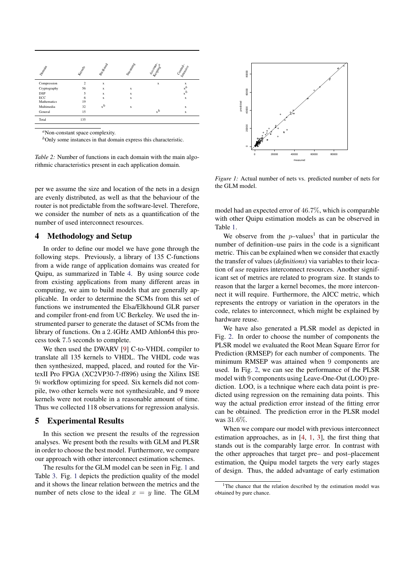| Dominica     | Kemper         | Bitt Bandar | Steamings   | Accordingla | Comptoning   |  |
|--------------|----------------|-------------|-------------|-------------|--------------|--|
| Compression  | $\mathfrak{D}$ | $\mathbf x$ |             | $\mathbf x$ | $\mathbf x$  |  |
| Cryptography | 56             | $\mathbf x$ | $\mathbf x$ |             | $x^b$        |  |
| <b>DSP</b>   | 5              | $\mathbf x$ | $\mathbf x$ |             | $x^b$        |  |
| ECC          | 6              | $\mathbf x$ | $\mathbf x$ |             | $\mathbf{x}$ |  |
| Mathematics  | 19             |             |             |             |              |  |
| Multimedia   | 32             | $x^b$       | $\mathbf x$ |             | $\mathbf x$  |  |
| General      | 15             |             |             | $x^b$       | $\mathbf x$  |  |
| Total        | 135            |             |             |             |              |  |

*<sup>a</sup>*Non-constant space complexity.

*<sup>b</sup>*Only some instances in that domain express this characteristic.

*Table 2:* Number of functions in each domain with the main algorithmic characteristics present in each application domain.

per we assume the size and location of the nets in a design are evenly distributed, as well as that the behaviour of the router is not predictable from the software-level. Therefore, we consider the number of nets as a quantification of the number of used interconnect resources.

### 4 Methodology and Setup

In order to define our model we have gone through the following steps. Previously, a library of 135 C-functions from a wide range of application domains was created for Quipu, as summarized in Table 4. By using source code from existing applications from many different areas in computing, we aim to build models that are generally applicable. In order to determine the SCMs from this set of functions we instrumented the Elsa/Elkhound GLR parser and compiler front-end from UC Berkeley. We used the instrumented parser to generate the dataset of SCMs from the library of functions. On a 2.4GHz AMD Athlon64 this process took 7.5 seconds to complete.

We then used the DWARV [9] C-to-VHDL compiler to translate all 135 kernels to VHDL. The VHDL code was then synthesized, mapped, placed, and routed for the VirtexII Pro FPGA (XC2VP30-7-ff896) using the Xilinx ISE  $9i$  workflow optimizing for speed. Six kernels did not compile, two other kernels were not synthesizable, and 9 more kernels were not routable in a reasonable amount of time. Thus we collected 118 observations for regression analysis.

#### 5 Experimental Results

In this section we present the results of the regression analyses. We present both the results with GLM and PLSR in order to choose the best model. Furthermore, we compare our approach with other interconnect estimation schemes.

The results for the GLM model can be seen in Fig. 1 and Table 3. Fig. 1 depicts the prediction quality of the model and it shows the linear relation between the metrics and the number of nets close to the ideal  $x = y$  line. The GLM



*Figure 1:* Actual number of nets vs. predicted number of nets for the GLM model.

model had an expected error of 46.7%, which is comparable with other Quipu estimation models as can be observed in Table 1.

We observe from the  $p$ -values<sup>1</sup> that in particular the number of definition–use pairs in the code is a significant metric. This can be explained when we consider that exactly the transfer of values (*definitions*) via variables to their location of *use* requires interconnect resources. Another significant set of metrics are related to program size. It stands to reason that the larger a kernel becomes, the more interconnect it will require. Furthermore, the AICC metric, which represents the entropy or variation in the operators in the code, relates to interconnect, which might be explained by hardware reuse.

We have also generated a PLSR model as depicted in Fig. 2. In order to choose the number of components the PLSR model we evaluated the Root Mean Square Error for Prediction (RMSEP) for each number of components. The minimum RMSEP was attained when 9 components are used. In Fig. 2, we can see the performance of the PLSR model with 9 components using Leave-One-Out (LOO) prediction. LOO, is a technique where each data point is predicted using regression on the remaining data points. This way the actual prediction error instead of the fitting error can be obtained. The prediction error in the PLSR model was 31.6%.

When we compare our model with previous interconnect estimation approaches, as in [4, 1, 3], the first thing that stands out is the comparably large error. In contrast with the other approaches that target pre– and post–placement estimation, the Quipu model targets the very early stages of design. Thus, the added advantage of early estimation

<sup>&</sup>lt;sup>1</sup>The chance that the relation described by the estimation model was obtained by pure chance.